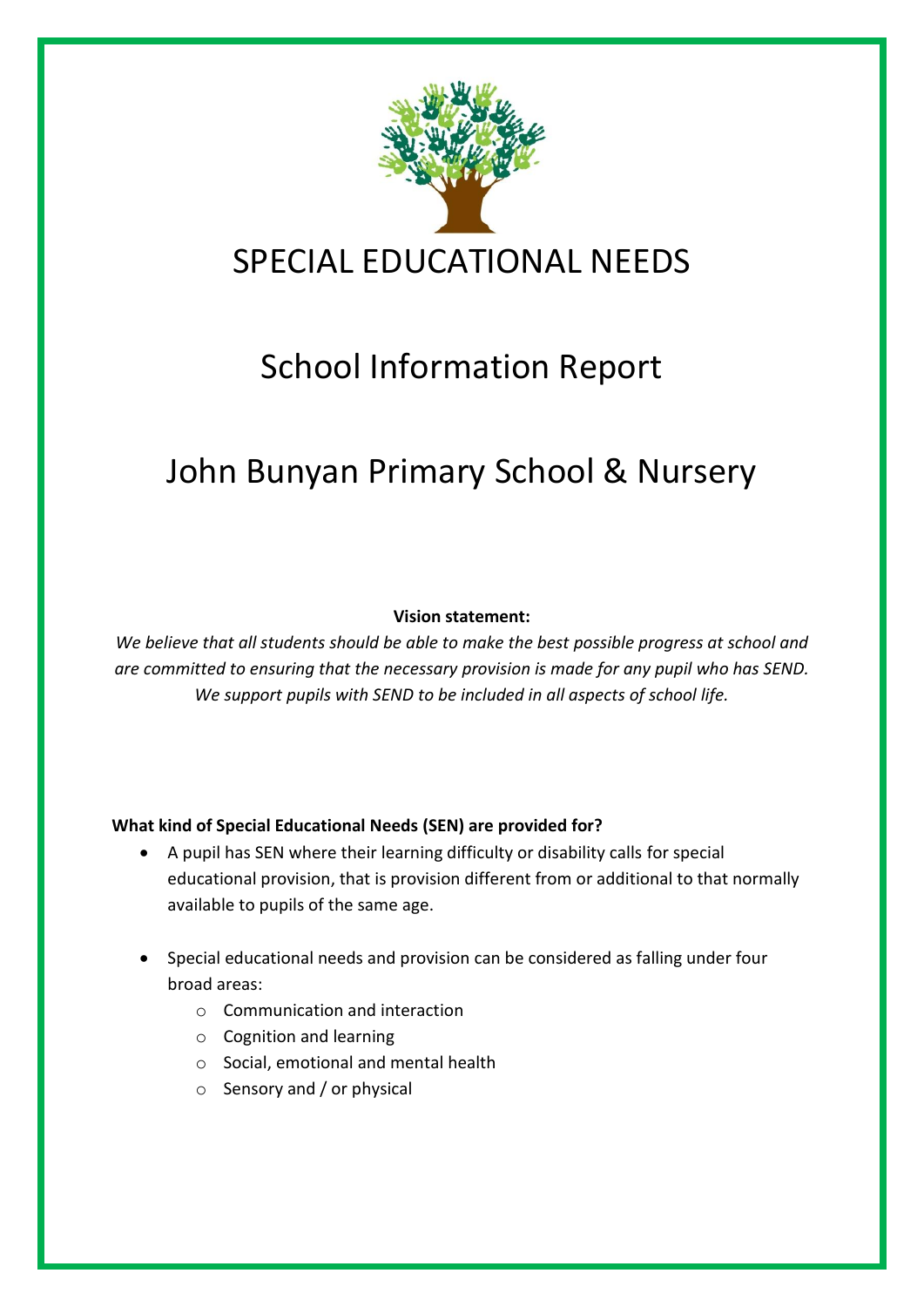

# School Information Report

# John Bunyan Primary School & Nursery

#### **Vision statement:**

*We believe that all students should be able to make the best possible progress at school and are committed to ensuring that the necessary provision is made for any pupil who has SEND. We support pupils with SEND to be included in all aspects of school life.*

### **What kind of Special Educational Needs (SEN) are provided for?**

- A pupil has SEN where their learning difficulty or disability calls for special educational provision, that is provision different from or additional to that normally available to pupils of the same age.
- Special educational needs and provision can be considered as falling under four broad areas:
	- o Communication and interaction
	- o Cognition and learning
	- o Social, emotional and mental health
	- o Sensory and / or physical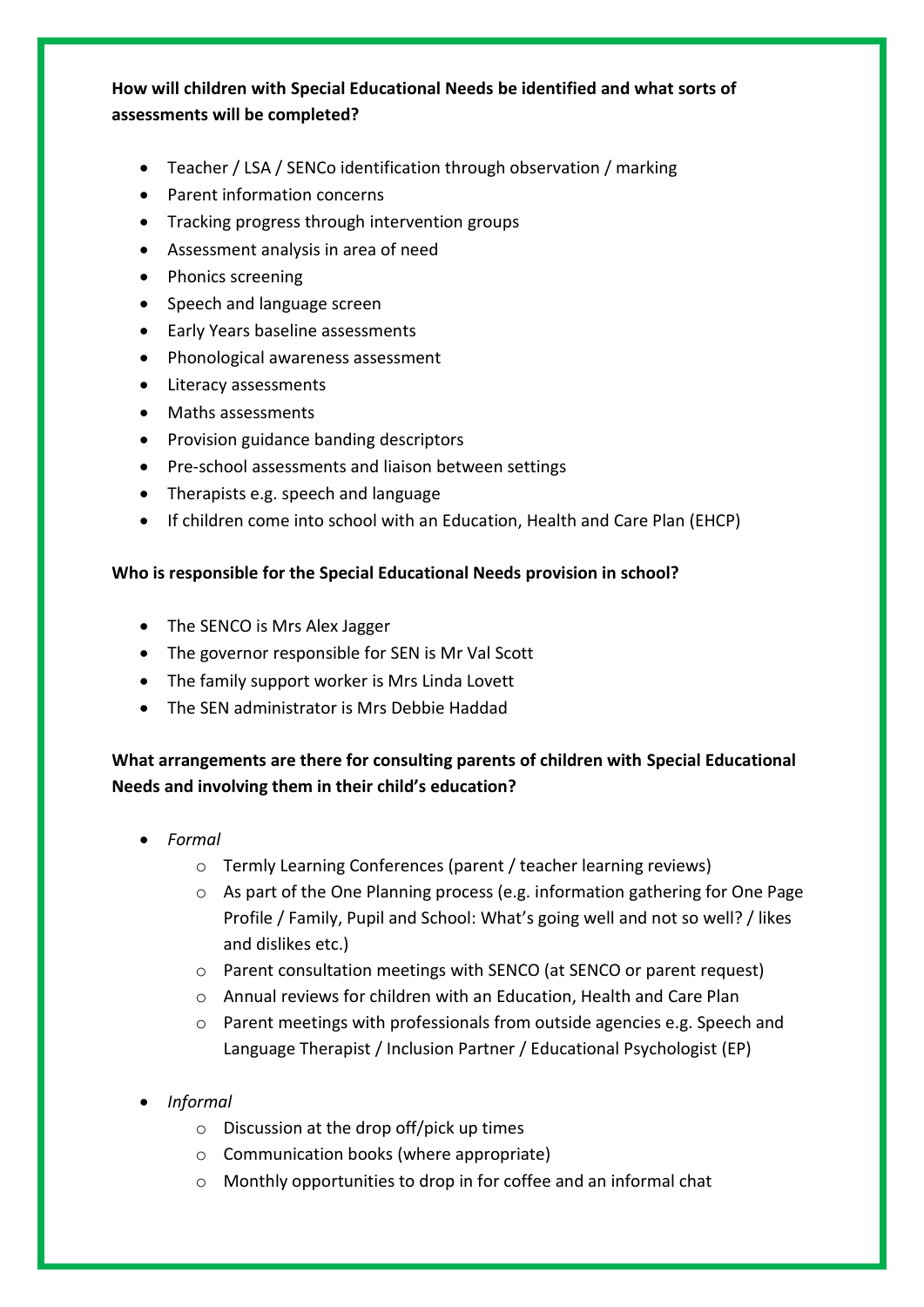### **How will children with Special Educational Needs be identified and what sorts of assessments will be completed?**

- Teacher / LSA / SENCo identification through observation / marking
- Parent information concerns
- Tracking progress through intervention groups
- Assessment analysis in area of need
- Phonics screening
- Speech and language screen
- Early Years baseline assessments
- Phonological awareness assessment
- Literacy assessments
- Maths assessments
- **•** Provision guidance banding descriptors
- Pre-school assessments and liaison between settings
- Therapists e.g. speech and language
- If children come into school with an Education, Health and Care Plan (EHCP)

#### **Who is responsible for the Special Educational Needs provision in school?**

- The SENCO is Mrs Alex Jagger
- The governor responsible for SEN is Mr Val Scott
- The family support worker is Mrs Linda Lovett
- The SEN administrator is Mrs Debbie Haddad

## **What arrangements are there for consulting parents of children with Special Educational Needs and involving them in their child's education?**

- *Formal*
	- o Termly Learning Conferences (parent / teacher learning reviews)
	- $\circ$  As part of the One Planning process (e.g. information gathering for One Page Profile / Family, Pupil and School: What's going well and not so well? / likes and dislikes etc.)
	- o Parent consultation meetings with SENCO (at SENCO or parent request)
	- o Annual reviews for children with an Education, Health and Care Plan
	- $\circ$  Parent meetings with professionals from outside agencies e.g. Speech and Language Therapist / Inclusion Partner / Educational Psychologist (EP)
- *Informal*
	- o Discussion at the drop off/pick up times
	- o Communication books (where appropriate)
	- o Monthly opportunities to drop in for coffee and an informal chat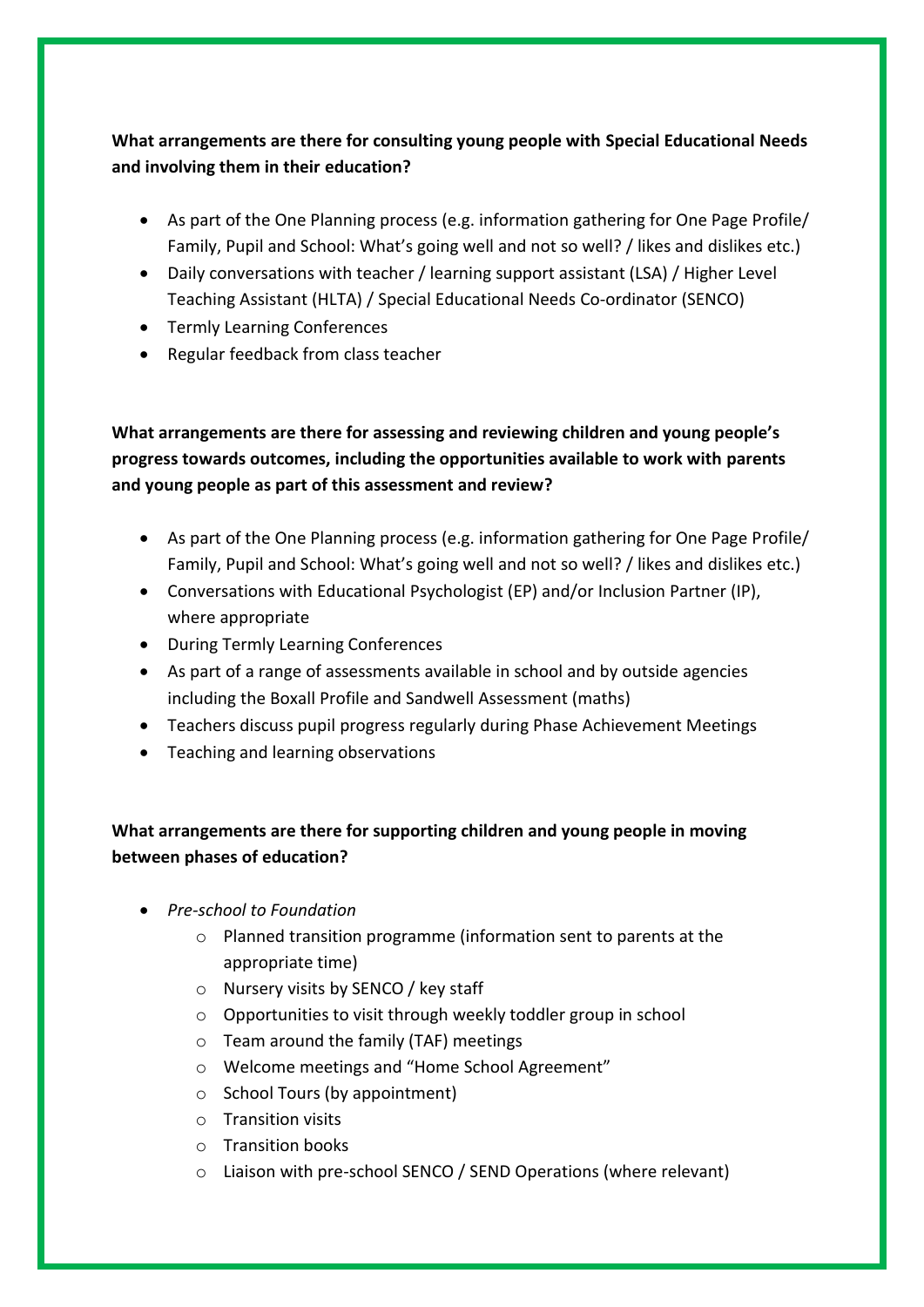## **What arrangements are there for consulting young people with Special Educational Needs and involving them in their education?**

- As part of the One Planning process (e.g. information gathering for One Page Profile/ Family, Pupil and School: What's going well and not so well? / likes and dislikes etc.)
- Daily conversations with teacher / learning support assistant (LSA) / Higher Level Teaching Assistant (HLTA) / Special Educational Needs Co-ordinator (SENCO)
- Termly Learning Conferences
- Regular feedback from class teacher

**What arrangements are there for assessing and reviewing children and young people's progress towards outcomes, including the opportunities available to work with parents and young people as part of this assessment and review?**

- As part of the One Planning process (e.g. information gathering for One Page Profile/ Family, Pupil and School: What's going well and not so well? / likes and dislikes etc.)
- Conversations with Educational Psychologist (EP) and/or Inclusion Partner (IP), where appropriate
- During Termly Learning Conferences
- As part of a range of assessments available in school and by outside agencies including the Boxall Profile and Sandwell Assessment (maths)
- Teachers discuss pupil progress regularly during Phase Achievement Meetings
- Teaching and learning observations

## **What arrangements are there for supporting children and young people in moving between phases of education?**

- *Pre-school to Foundation*
	- o Planned transition programme (information sent to parents at the appropriate time)
	- o Nursery visits by SENCO / key staff
	- o Opportunities to visit through weekly toddler group in school
	- o Team around the family (TAF) meetings
	- o Welcome meetings and "Home School Agreement"
	- o School Tours (by appointment)
	- o Transition visits
	- o Transition books
	- o Liaison with pre-school SENCO / SEND Operations (where relevant)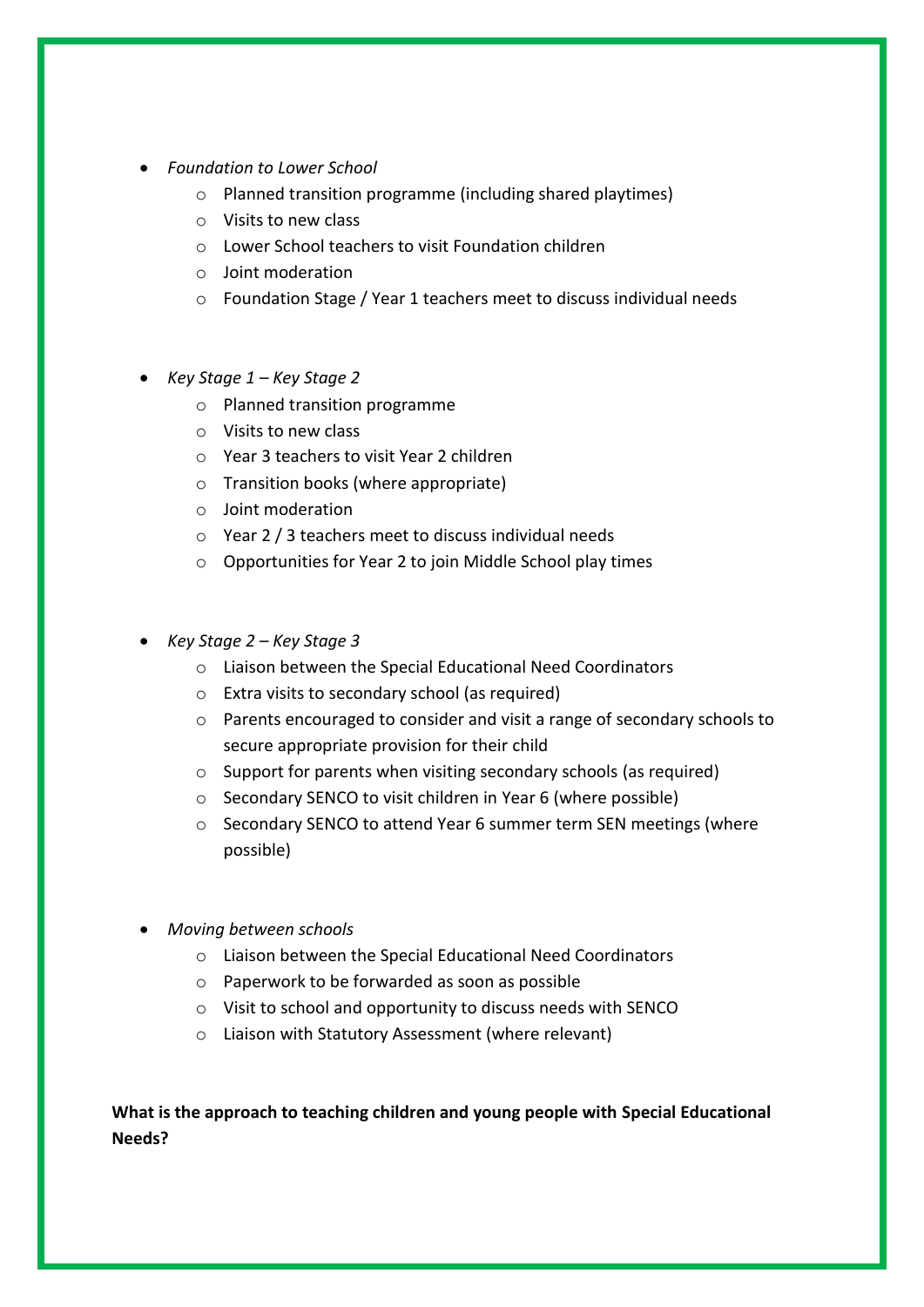- *Foundation to Lower School*
	- o Planned transition programme (including shared playtimes)
	- o Visits to new class
	- o Lower School teachers to visit Foundation children
	- o Joint moderation
	- o Foundation Stage / Year 1 teachers meet to discuss individual needs
- *Key Stage 1 – Key Stage 2*
	- o Planned transition programme
	- o Visits to new class
	- o Year 3 teachers to visit Year 2 children
	- o Transition books (where appropriate)
	- o Joint moderation
	- o Year 2 / 3 teachers meet to discuss individual needs
	- o Opportunities for Year 2 to join Middle School play times
- *Key Stage 2 – Key Stage 3*
	- o Liaison between the Special Educational Need Coordinators
	- o Extra visits to secondary school (as required)
	- o Parents encouraged to consider and visit a range of secondary schools to secure appropriate provision for their child
	- o Support for parents when visiting secondary schools (as required)
	- o Secondary SENCO to visit children in Year 6 (where possible)
	- o Secondary SENCO to attend Year 6 summer term SEN meetings (where possible)
- *Moving between schools*
	- o Liaison between the Special Educational Need Coordinators
	- o Paperwork to be forwarded as soon as possible
	- o Visit to school and opportunity to discuss needs with SENCO
	- o Liaison with Statutory Assessment (where relevant)

**What is the approach to teaching children and young people with Special Educational Needs?**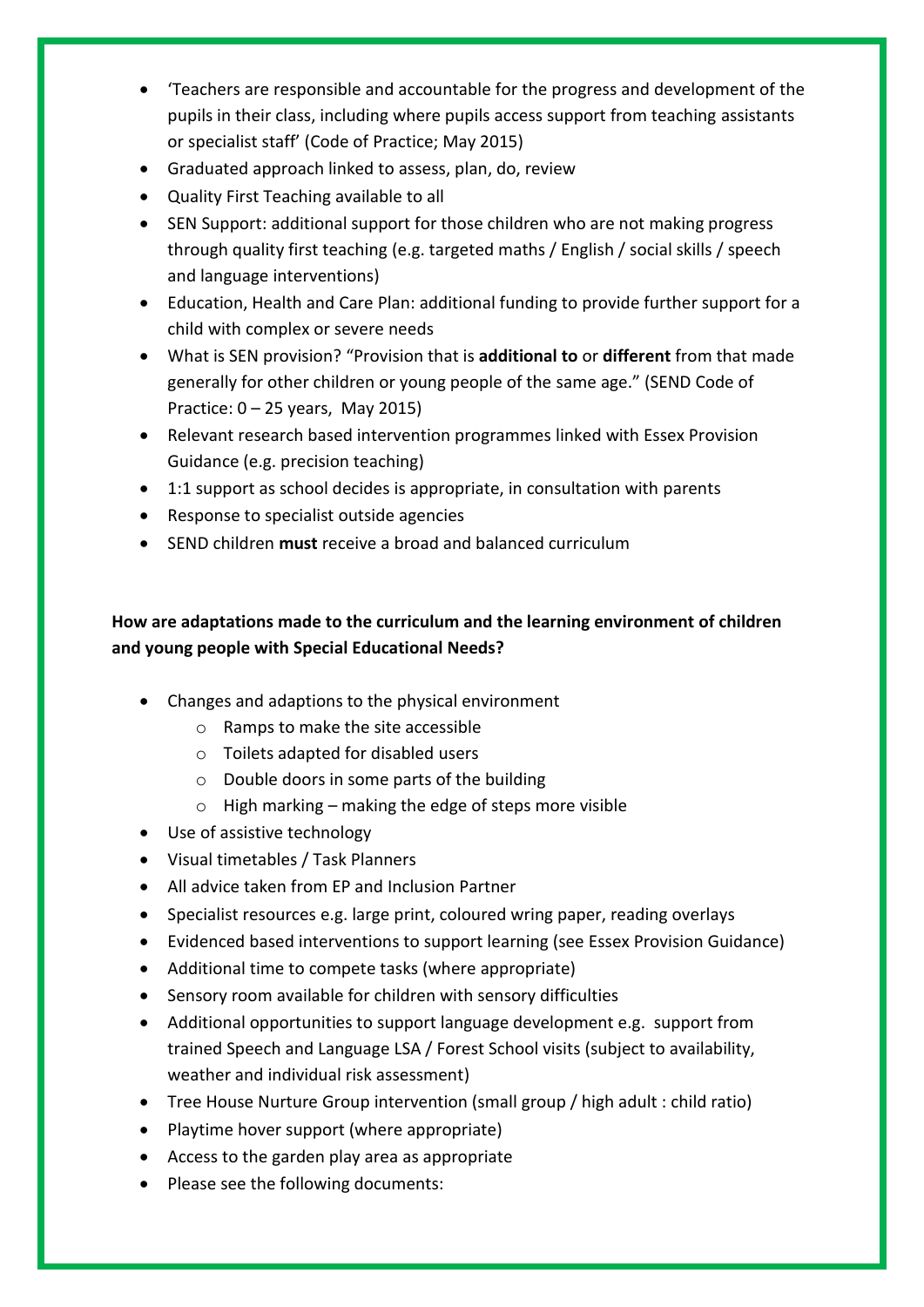- 'Teachers are responsible and accountable for the progress and development of the pupils in their class, including where pupils access support from teaching assistants or specialist staff' (Code of Practice; May 2015)
- Graduated approach linked to assess, plan, do, review
- Quality First Teaching available to all
- SEN Support: additional support for those children who are not making progress through quality first teaching (e.g. targeted maths / English / social skills / speech and language interventions)
- Education, Health and Care Plan: additional funding to provide further support for a child with complex or severe needs
- What is SEN provision? "Provision that is **additional to** or **different** from that made generally for other children or young people of the same age." (SEND Code of Practice: 0 – 25 years, May 2015)
- Relevant research based intervention programmes linked with Essex Provision Guidance (e.g. precision teaching)
- 1:1 support as school decides is appropriate, in consultation with parents
- Response to specialist outside agencies
- SEND children **must** receive a broad and balanced curriculum

# **How are adaptations made to the curriculum and the learning environment of children and young people with Special Educational Needs?**

- Changes and adaptions to the physical environment
	- o Ramps to make the site accessible
	- o Toilets adapted for disabled users
	- $\circ$  Double doors in some parts of the building
	- $\circ$  High marking making the edge of steps more visible
- Use of assistive technology
- Visual timetables / Task Planners
- All advice taken from EP and Inclusion Partner
- Specialist resources e.g. large print, coloured wring paper, reading overlays
- Evidenced based interventions to support learning (see Essex Provision Guidance)
- Additional time to compete tasks (where appropriate)
- Sensory room available for children with sensory difficulties
- Additional opportunities to support language development e.g. support from trained Speech and Language LSA / Forest School visits (subject to availability, weather and individual risk assessment)
- Tree House Nurture Group intervention (small group / high adult : child ratio)
- Playtime hover support (where appropriate)
- Access to the garden play area as appropriate
- Please see the following documents: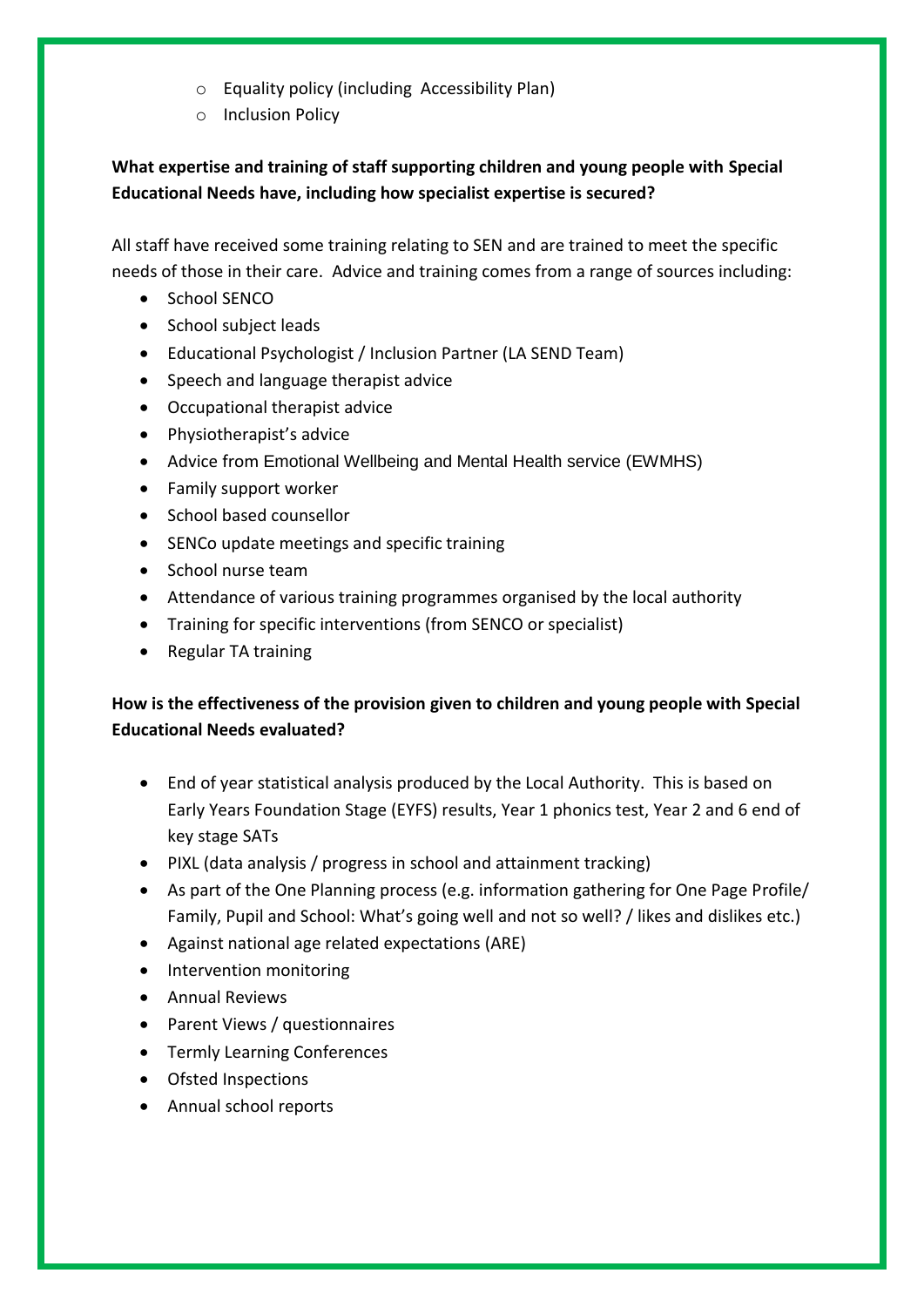- o Equality policy (including Accessibility Plan)
- o Inclusion Policy

### **What expertise and training of staff supporting children and young people with Special Educational Needs have, including how specialist expertise is secured?**

All staff have received some training relating to SEN and are trained to meet the specific needs of those in their care. Advice and training comes from a range of sources including:

- School SENCO
- School subject leads
- Educational Psychologist / Inclusion Partner (LA SEND Team)
- Speech and language therapist advice
- Occupational therapist advice
- Physiotherapist's advice
- Advice from Emotional Wellbeing and Mental Health service (EWMHS)
- Family support worker
- School based counsellor
- SENCo update meetings and specific training
- School nurse team
- Attendance of various training programmes organised by the local authority
- Training for specific interventions (from SENCO or specialist)
- Regular TA training

## **How is the effectiveness of the provision given to children and young people with Special Educational Needs evaluated?**

- End of year statistical analysis produced by the Local Authority. This is based on Early Years Foundation Stage (EYFS) results, Year 1 phonics test, Year 2 and 6 end of key stage SATs
- PIXL (data analysis / progress in school and attainment tracking)
- As part of the One Planning process (e.g. information gathering for One Page Profile/ Family, Pupil and School: What's going well and not so well? / likes and dislikes etc.)
- Against national age related expectations (ARE)
- Intervention monitoring
- Annual Reviews
- Parent Views / questionnaires
- **•** Termly Learning Conferences
- Ofsted Inspections
- Annual school reports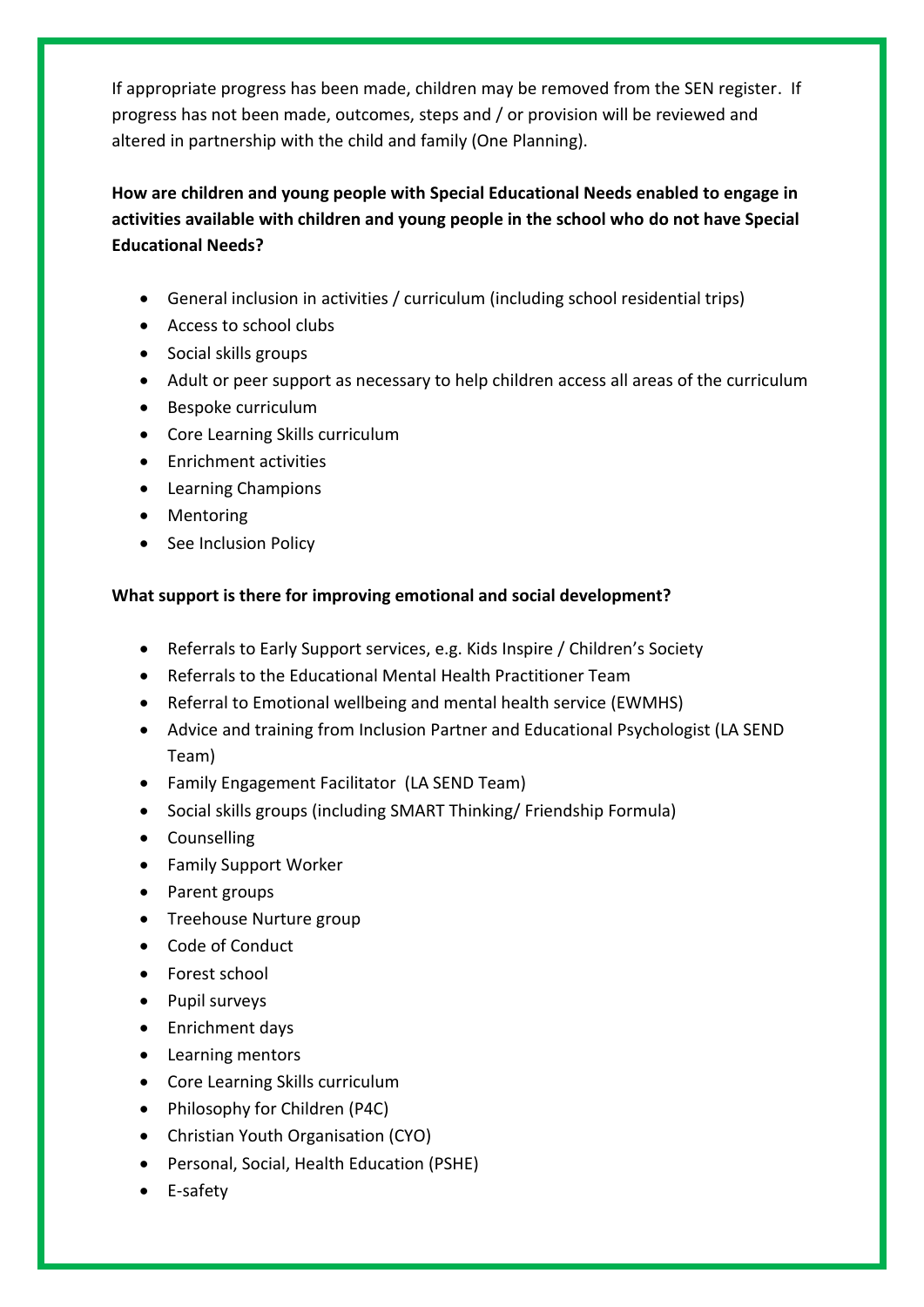If appropriate progress has been made, children may be removed from the SEN register. If progress has not been made, outcomes, steps and / or provision will be reviewed and altered in partnership with the child and family (One Planning).

**How are children and young people with Special Educational Needs enabled to engage in activities available with children and young people in the school who do not have Special Educational Needs?**

- General inclusion in activities / curriculum (including school residential trips)
- Access to school clubs
- Social skills groups
- Adult or peer support as necessary to help children access all areas of the curriculum
- Bespoke curriculum
- Core Learning Skills curriculum
- **•** Enrichment activities
- Learning Champions
- Mentoring
- See Inclusion Policy

#### **What support is there for improving emotional and social development?**

- Referrals to Early Support services, e.g. Kids Inspire / Children's Society
- Referrals to the Educational Mental Health Practitioner Team
- Referral to Emotional wellbeing and mental health service (EWMHS)
- Advice and training from Inclusion Partner and Educational Psychologist (LA SEND Team)
- Family Engagement Facilitator (LA SEND Team)
- Social skills groups (including SMART Thinking/ Friendship Formula)
- Counselling
- Family Support Worker
- Parent groups
- Treehouse Nurture group
- Code of Conduct
- Forest school
- Pupil surveys
- Enrichment days
- Learning mentors
- Core Learning Skills curriculum
- Philosophy for Children (P4C)
- Christian Youth Organisation (CYO)
- Personal, Social, Health Education (PSHE)
- E-safety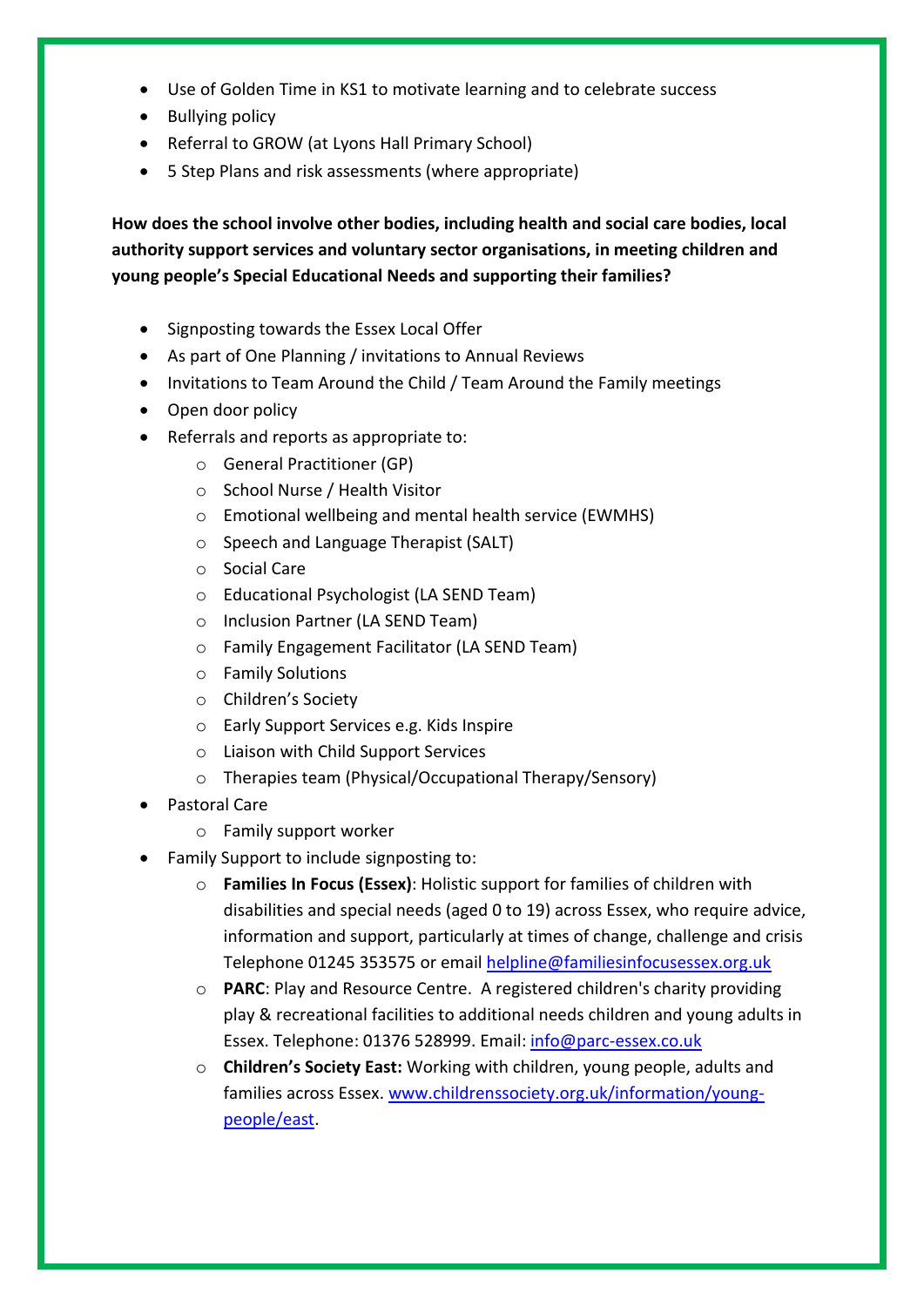- Use of Golden Time in KS1 to motivate learning and to celebrate success
- Bullying policy
- Referral to GROW (at Lyons Hall Primary School)
- 5 Step Plans and risk assessments (where appropriate)

**How does the school involve other bodies, including health and social care bodies, local authority support services and voluntary sector organisations, in meeting children and young people's Special Educational Needs and supporting their families?**

- Signposting towards the Essex Local Offer
- As part of One Planning / invitations to Annual Reviews
- Invitations to Team Around the Child / Team Around the Family meetings
- Open door policy
- Referrals and reports as appropriate to:
	- o General Practitioner (GP)
	- o School Nurse / Health Visitor
	- o Emotional wellbeing and mental health service (EWMHS)
	- o Speech and Language Therapist (SALT)
	- o Social Care
	- o Educational Psychologist (LA SEND Team)
	- o Inclusion Partner (LA SEND Team)
	- o Family Engagement Facilitator (LA SEND Team)
	- o Family Solutions
	- o Children's Society
	- o Early Support Services e.g. Kids Inspire
	- o Liaison with Child Support Services
	- o Therapies team (Physical/Occupational Therapy/Sensory)
- Pastoral Care
	- o Family support worker
- Family Support to include signposting to:
	- o **Families In Focus (Essex)**: Holistic support for families of children with disabilities and special needs (aged 0 to 19) across Essex, who require advice, information and support, particularly at times of change, challenge and crisis Telephone 01245 353575 or email [helpline@familiesinfocusessex.org.uk](mailto:helpline@familiesinfocusessex.org.uk)
	- o **PARC**: Play and Resource Centre. A registered children's charity providing play & recreational facilities to additional needs children and young adults in Essex. Telephone: 01376 528999. Email: [info@parc-essex.co.uk](mailto:info@parc-essex.co.uk)
	- o **Children's Society East:** Working with children, young people, adults and families across Essex. [www.childrenssociety.org.uk/information/young](http://www.childrenssociety.org.uk/information/young-people/east)[people/east.](http://www.childrenssociety.org.uk/information/young-people/east)